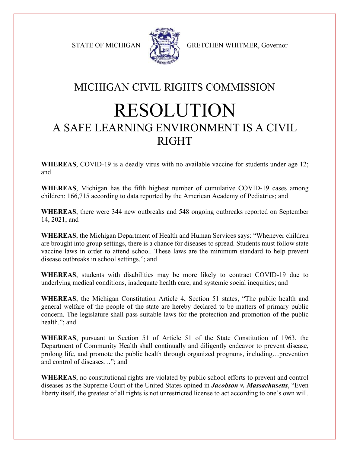

STATE OF MICHIGAN A GRETCHEN WHITMER, Governor

## MICHIGAN CIVIL RIGHTS COMMISSION RESOLUTION A SAFE LEARNING ENVIRONMENT IS A CIVIL RIGHT

**WHEREAS**, COVID-19 is a deadly virus with no available vaccine for students under age 12; and

**WHEREAS**, Michigan has the fifth highest number of cumulative COVID-19 cases among children: 166,715 according to data reported by the American Academy of Pediatrics; and

**WHEREAS**, there were 344 new outbreaks and 548 ongoing outbreaks reported on September 14, 2021; and

**WHEREAS**, the Michigan Department of Health and Human Services says: "Whenever children are brought into group settings, there is a chance for diseases to spread. Students must follow state vaccine laws in order to attend school. These laws are the minimum standard to help prevent disease outbreaks in school settings."; and

**WHEREAS**, students with disabilities may be more likely to contract COVID-19 due to underlying medical conditions, inadequate health care, and systemic social inequities; and

**WHEREAS**, the Michigan Constitution Article 4, Section 51 states, "The public health and general welfare of the people of the state are hereby declared to be matters of primary public concern. The legislature shall pass suitable laws for the protection and promotion of the public health."; and

**WHEREAS**, pursuant to Section 51 of Article 51 of the State Constitution of 1963, the Department of Community Health shall continually and diligently endeavor to prevent disease, prolong life, and promote the public health through organized programs, including…prevention and control of diseases…"; and

**WHEREAS**, no constitutional rights are violated by public school efforts to prevent and control diseases as the Supreme Court of the United States opined in *Jacobson v. Massachusetts*, "Even liberty itself, the greatest of all rights is not unrestricted license to act according to one's own will.